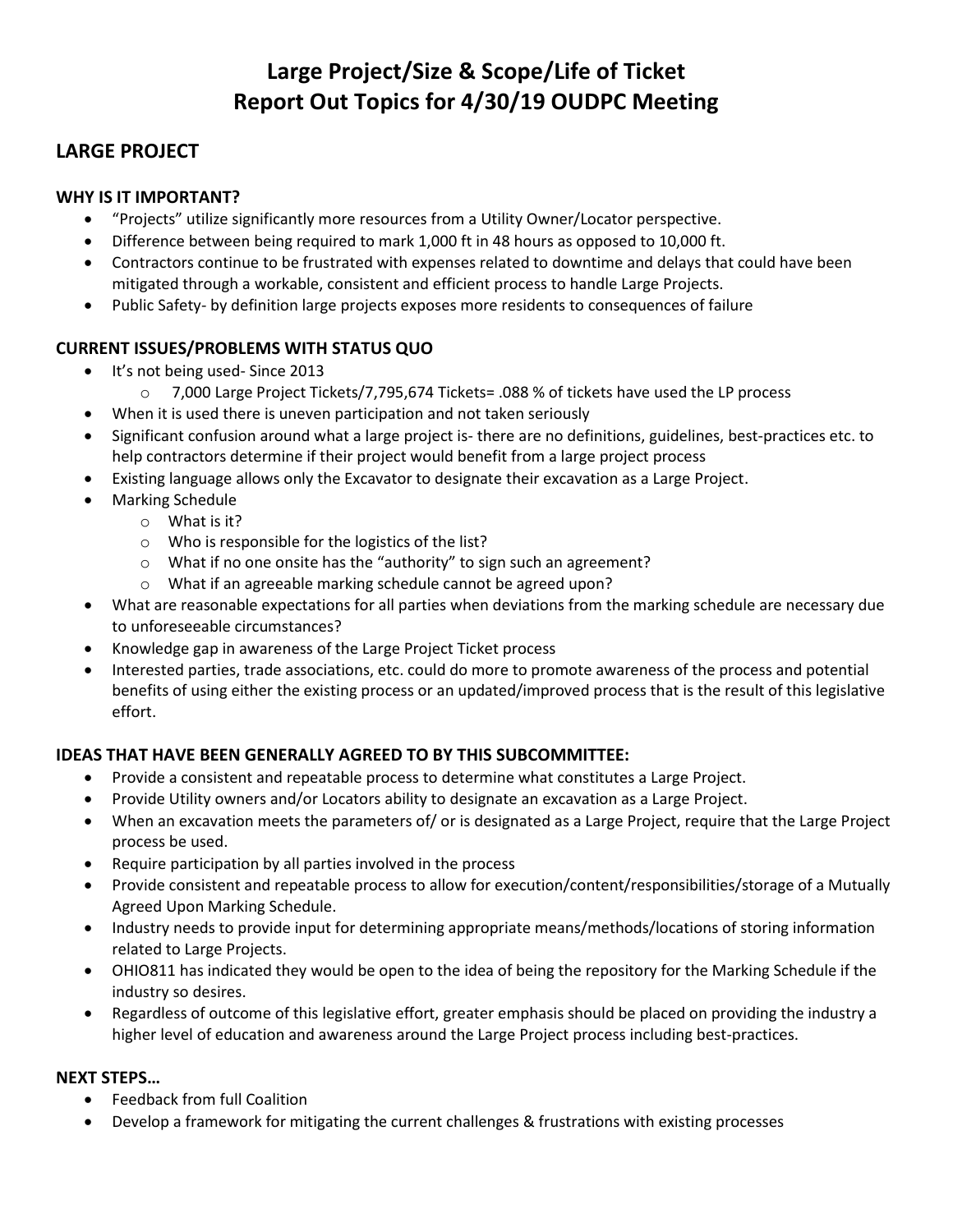# **Large Project/Size & Scope/Life of Ticket Report Out Topics for 4/30/19 OUDPC Meeting**

### **LARGE PROJECT**

#### **WHY IS IT IMPORTANT?**

- "Projects" utilize significantly more resources from a Utility Owner/Locator perspective.
- Difference between being required to mark 1,000 ft in 48 hours as opposed to 10,000 ft.
- Contractors continue to be frustrated with expenses related to downtime and delays that could have been mitigated through a workable, consistent and efficient process to handle Large Projects.
- Public Safety- by definition large projects exposes more residents to consequences of failure

#### **CURRENT ISSUES/PROBLEMS WITH STATUS QUO**

- It's not being used- Since 2013
	- o 7,000 Large Project Tickets/7,795,674 Tickets= .088 % of tickets have used the LP process
- When it is used there is uneven participation and not taken seriously
- Significant confusion around what a large project is- there are no definitions, guidelines, best-practices etc. to help contractors determine if their project would benefit from a large project process
- Existing language allows only the Excavator to designate their excavation as a Large Project.
- Marking Schedule
	- o What is it?
	- o Who is responsible for the logistics of the list?
	- o What if no one onsite has the "authority" to sign such an agreement?
	- o What if an agreeable marking schedule cannot be agreed upon?
- What are reasonable expectations for all parties when deviations from the marking schedule are necessary due to unforeseeable circumstances?
- Knowledge gap in awareness of the Large Project Ticket process
- Interested parties, trade associations, etc. could do more to promote awareness of the process and potential benefits of using either the existing process or an updated/improved process that is the result of this legislative effort.

#### **IDEAS THAT HAVE BEEN GENERALLY AGREED TO BY THIS SUBCOMMITTEE:**

- Provide a consistent and repeatable process to determine what constitutes a Large Project.
- Provide Utility owners and/or Locators ability to designate an excavation as a Large Project.
- When an excavation meets the parameters of/ or is designated as a Large Project, require that the Large Project process be used.
- Require participation by all parties involved in the process
- Provide consistent and repeatable process to allow for execution/content/responsibilities/storage of a Mutually Agreed Upon Marking Schedule.
- Industry needs to provide input for determining appropriate means/methods/locations of storing information related to Large Projects.
- OHIO811 has indicated they would be open to the idea of being the repository for the Marking Schedule if the industry so desires.
- Regardless of outcome of this legislative effort, greater emphasis should be placed on providing the industry a higher level of education and awareness around the Large Project process including best-practices.

#### **NEXT STEPS…**

- Feedback from full Coalition
- Develop a framework for mitigating the current challenges & frustrations with existing processes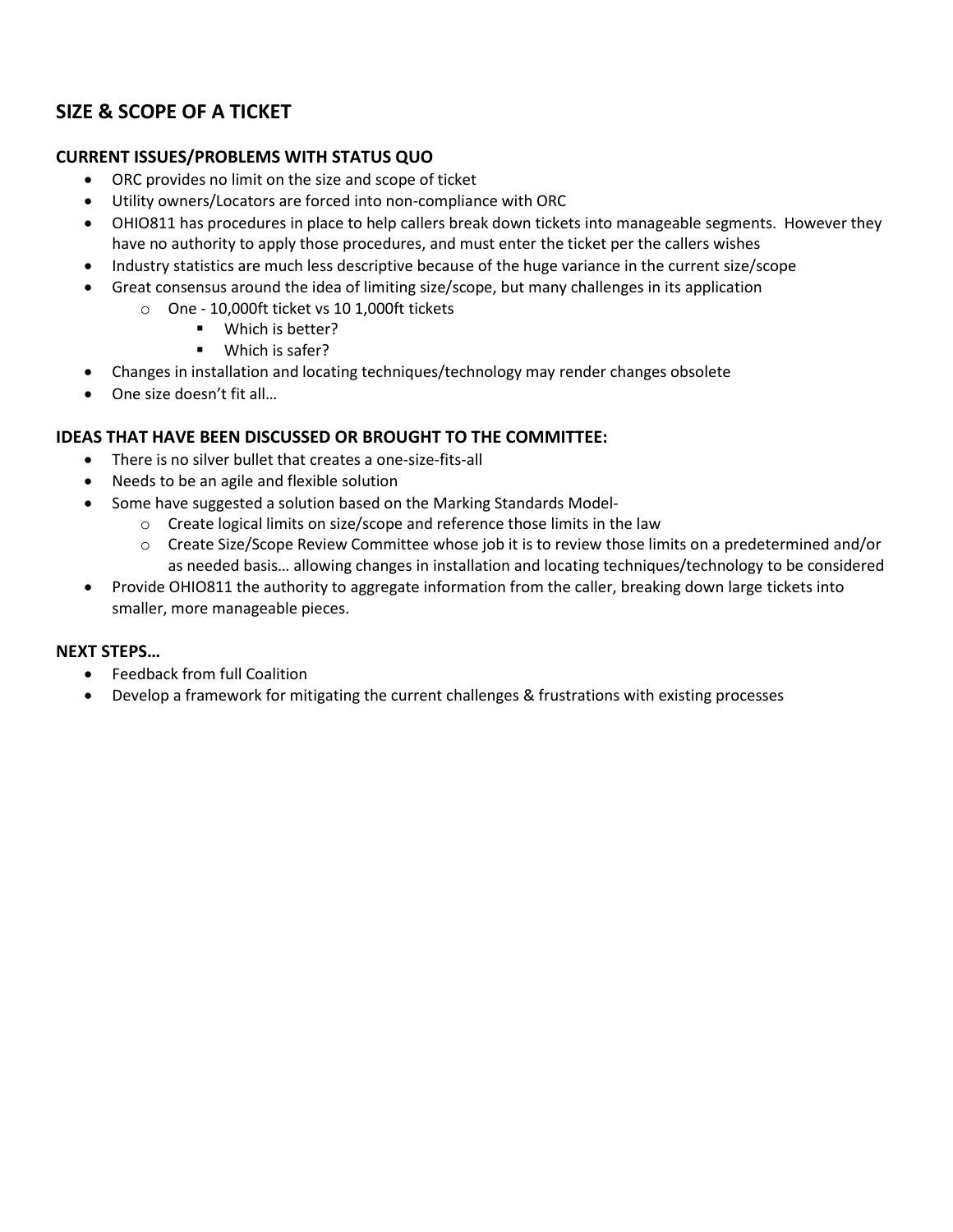## **SIZE & SCOPE OF A TICKET**

#### **CURRENT ISSUES/PROBLEMS WITH STATUS QUO**

- ORC provides no limit on the size and scope of ticket
- Utility owners/Locators are forced into non-compliance with ORC
- OHIO811 has procedures in place to help callers break down tickets into manageable segments. However they have no authority to apply those procedures, and must enter the ticket per the callers wishes
- Industry statistics are much less descriptive because of the huge variance in the current size/scope
- Great consensus around the idea of limiting size/scope, but many challenges in its application
	- o One 10,000ft ticket vs 10 1,000ft tickets
		- **Nhich is better?**
		- **Which is safer?**
- Changes in installation and locating techniques/technology may render changes obsolete
- One size doesn't fit all…

#### **IDEAS THAT HAVE BEEN DISCUSSED OR BROUGHT TO THE COMMITTEE:**

- There is no silver bullet that creates a one-size-fits-all
- Needs to be an agile and flexible solution
- Some have suggested a solution based on the Marking Standards Model
	- o Create logical limits on size/scope and reference those limits in the law
	- $\circ$  Create Size/Scope Review Committee whose job it is to review those limits on a predetermined and/or as needed basis… allowing changes in installation and locating techniques/technology to be considered
- Provide OHIO811 the authority to aggregate information from the caller, breaking down large tickets into smaller, more manageable pieces.

#### **NEXT STEPS…**

- Feedback from full Coalition
- Develop a framework for mitigating the current challenges & frustrations with existing processes